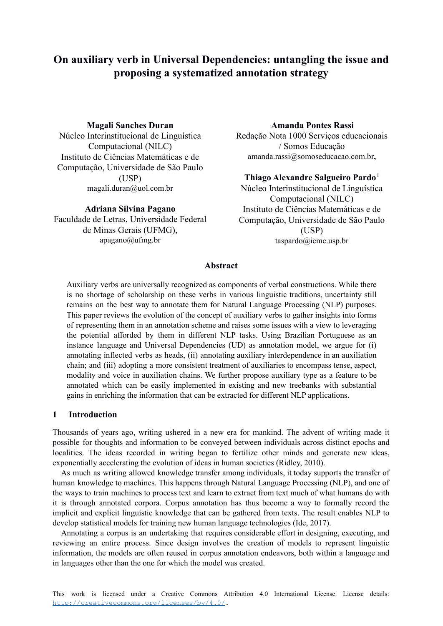# **On auxiliary verb in Universal Dependencies: untangling the issue and proposing a systematized annotation strategy**

## **Magali Sanches Duran**

Núcleo Interinstitucional de Linguística Computacional (NILC) Instituto de Ciências Matemáticas e de Computação, Universidade de São Paulo (USP) magali.duran@uol.com.br

### **Adriana Silvina Pagano**

Faculdade de Letras, Universidade Federal de Minas Gerais (UFMG), apagano@ufmg.br

## **Amanda Pontes Rassi**

Redação Nota 1000 Serviços educacionais / Somos Educação amanda.rassi@somoseducacao.com.br**,**

# **Thiago Alexandre Salgueiro Pardo**<sup>1</sup>

Núcleo Interinstitucional de Linguística Computacional (NILC) Instituto de Ciências Matemáticas e de Computação, Universidade de São Paulo (USP) taspardo@icmc.usp.br

# **Abstract**

Auxiliary verbs are universally recognized as components of verbal constructions. While there is no shortage of scholarship on these verbs in various linguistic traditions, uncertainty still remains on the best way to annotate them for Natural Language Processing (NLP) purposes. This paper reviews the evolution of the concept of auxiliary verbs to gather insights into forms of representing them in an annotation scheme and raises some issues with a view to leveraging the potential afforded by them in different NLP tasks. Using Brazilian Portuguese as an instance language and Universal Dependencies (UD) as annotation model, we argue for (i) annotating inflected verbs as heads, (ii) annotating auxiliary interdependence in an auxiliation chain; and (iii) adopting a more consistent treatment of auxiliaries to encompass tense, aspect, modality and voice in auxiliation chains. We further propose auxiliary type as a feature to be annotated which can be easily implemented in existing and new treebanks with substantial gains in enriching the information that can be extracted for different NLP applications.

## **1 Introduction**

Thousands of years ago, writing ushered in a new era for mankind. The advent of writing made it possible for thoughts and information to be conveyed between individuals across distinct epochs and localities. The ideas recorded in writing began to fertilize other minds and generate new ideas, exponentially accelerating the evolution of ideas in human societies (Ridley, 2010).

As much as writing allowed knowledge transfer among individuals, it today supports the transfer of human knowledge to machines. This happens through Natural Language Processing (NLP), and one of the ways to train machines to process text and learn to extract from text much of what humans do with it is through annotated corpora. Corpus annotation has thus become a way to formally record the implicit and explicit linguistic knowledge that can be gathered from texts. The result enables NLP to develop statistical models for training new human language technologies (Ide, 2017).

Annotating a corpus is an undertaking that requires considerable effort in designing, executing, and reviewing an entire process. Since design involves the creation of models to represent linguistic information, the models are often reused in corpus annotation endeavors, both within a language and in languages other than the one for which the model was created.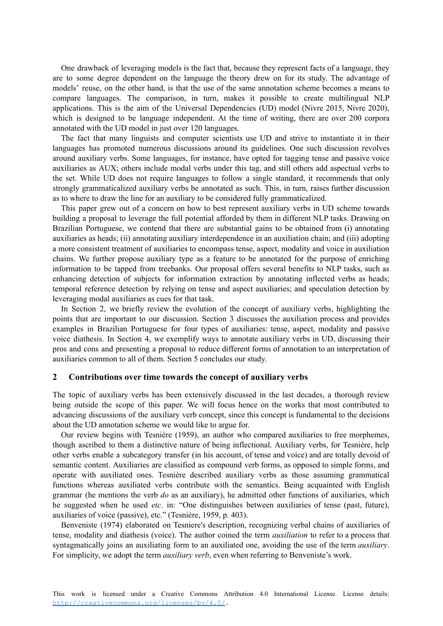One drawback of leveraging models is the fact that, because they represent facts of a language, they are to some degree dependent on the language the theory drew on for its study. The advantage of models' reuse, on the other hand, is that the use of the same annotation scheme becomes a means to compare languages. The comparison, in turn, makes it possible to create multilingual NLP applications. This is the aim of the Universal Dependencies (UD) model (Nivre 2015, Nivre 2020), which is designed to be language independent. At the time of writing, there are over 200 corpora annotated with the UD model in just over 120 languages.

The fact that many linguists and computer scientists use UD and strive to instantiate it in their languages has promoted numerous discussions around its guidelines. One such discussion revolves around auxiliary verbs. Some languages, for instance, have opted for tagging tense and passive voice auxiliaries as AUX; others include modal verbs under this tag, and still others add aspectual verbs to the set. While UD does not require languages to follow a single standard, it recommends that only strongly grammaticalized auxiliary verbs be annotated as such. This, in turn, raises further discussion as to where to draw the line for an auxiliary to be considered fully grammaticalized.

This paper grew out of a concern on how to best represent auxiliary verbs in UD scheme towards building a proposal to leverage the full potential afforded by them in different NLP tasks. Drawing on Brazilian Portuguese, we contend that there are substantial gains to be obtained from (i) annotating auxiliaries as heads; (ii) annotating auxiliary interdependence in an auxiliation chain; and (iii) adopting a more consistent treatment of auxiliaries to encompass tense, aspect, modality and voice in auxiliation chains. We further propose auxiliary type as a feature to be annotated for the purpose of enriching information to be tapped from treebanks. Our proposal offers several benefits to NLP tasks, such as enhancing detection of subjects for information extraction by annotating inflected verbs as heads; temporal reference detection by relying on tense and aspect auxiliaries; and speculation detection by leveraging modal auxiliaries as cues for that task.

In Section 2, we briefly review the evolution of the concept of auxiliary verbs, highlighting the points that are important to our discussion. Section 3 discusses the auxiliation process and provides examples in Brazilian Portuguese for four types of auxiliaries: tense, aspect, modality and passive voice diathesis. In Section 4, we exemplify ways to annotate auxiliary verbs in UD, discussing their pros and cons and presenting a proposal to reduce different forms of annotation to an interpretation of auxiliaries common to all of them. Section 5 concludes our study.

#### **2 Contributions over time towards the concept of auxiliary verbs**

The topic of auxiliary verbs has been extensively discussed in the last decades, a thorough review being outside the scope of this paper. We will focus hence on the works that most contributed to advancing discussions of the auxiliary verb concept, since this concept is fundamental to the decisions about the UD annotation scheme we would like to argue for.

Our review begins with Tesnière (1959), an author who compared auxiliaries to free morphemes, though ascribed to them a distinctive nature of being inflectional. Auxiliary verbs, for Tesnière, help other verbs enable a subcategory transfer (in his account, of tense and voice) and are totally devoid of semantic content. Auxiliaries are classified as compound verb forms, as opposed to simple forms, and operate with auxiliated ones. Tesnière described auxiliary verbs as those assuming grammatical functions whereas auxiliated verbs contribute with the semantics. Being acquainted with English grammar (he mentions the verb *do* as an auxiliary), he admitted other functions of auxiliaries, which he suggested when he used *etc*. in: "One distinguishes between auxiliaries of tense (past, future), auxiliaries of voice (passive), etc." (Tesnière, 1959, p. 403).

Benveniste (1974) elaborated on Tesniere's description, recognizing verbal chains of auxiliaries of tense, modality and diathesis (voice). The author coined the term *auxiliation* to refer to a process that syntagmatically joins an auxiliating form to an auxiliated one, avoiding the use of the term *auxiliary*. For simplicity, we adopt the term *auxiliary verb*, even when referring to Benveniste's work.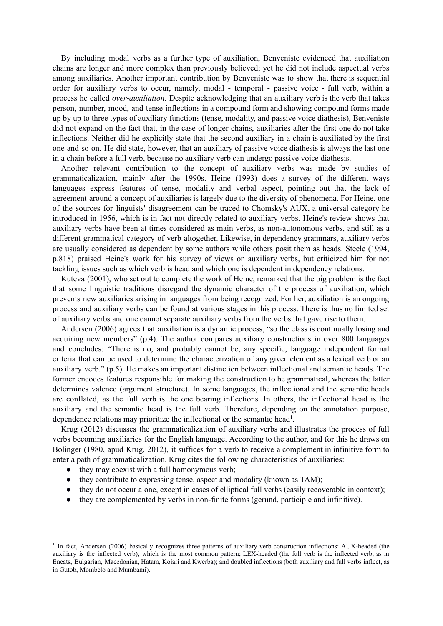By including modal verbs as a further type of auxiliation, Benveniste evidenced that auxiliation chains are longer and more complex than previously believed; yet he did not include aspectual verbs among auxiliaries. Another important contribution by Benveniste was to show that there is sequential order for auxiliary verbs to occur, namely, modal - temporal - passive voice - full verb, within a process he called *over-auxiliation*. Despite acknowledging that an auxiliary verb is the verb that takes person, number, mood, and tense inflections in a compound form and showing compound forms made up by up to three types of auxiliary functions (tense, modality, and passive voice diathesis), Benveniste did not expand on the fact that, in the case of longer chains, auxiliaries after the first one do not take inflections. Neither did he explicitly state that the second auxiliary in a chain is auxiliated by the first one and so on. He did state, however, that an auxiliary of passive voice diathesis is always the last one in a chain before a full verb, because no auxiliary verb can undergo passive voice diathesis.

Another relevant contribution to the concept of auxiliary verbs was made by studies of grammaticalization, mainly after the 1990s. Heine (1993) does a survey of the different ways languages express features of tense, modality and verbal aspect, pointing out that the lack of agreement around a concept of auxiliaries is largely due to the diversity of phenomena. For Heine, one of the sources for linguists' disagreement can be traced to Chomsky's AUX, a universal category he introduced in 1956, which is in fact not directly related to auxiliary verbs. Heine's review shows that auxiliary verbs have been at times considered as main verbs, as non-autonomous verbs, and still as a different grammatical category of verb altogether. Likewise, in dependency grammars, auxiliary verbs are usually considered as dependent by some authors while others posit them as heads. Steele (1994, p.818) praised Heine's work for his survey of views on auxiliary verbs, but criticized him for not tackling issues such as which verb is head and which one is dependent in dependency relations.

Kuteva (2001), who set out to complete the work of Heine, remarked that the big problem is the fact that some linguistic traditions disregard the dynamic character of the process of auxiliation, which prevents new auxiliaries arising in languages from being recognized. For her, auxiliation is an ongoing process and auxiliary verbs can be found at various stages in this process. There is thus no limited set of auxiliary verbs and one cannot separate auxiliary verbs from the verbs that gave rise to them.

Andersen (2006) agrees that auxiliation is a dynamic process, "so the class is continually losing and acquiring new members" (p.4). The author compares auxiliary constructions in over 800 languages and concludes: "There is no, and probably cannot be, any specific, language independent formal criteria that can be used to determine the characterization of any given element as a lexical verb or an auxiliary verb." (p.5). He makes an important distinction between inflectional and semantic heads. The former encodes features responsible for making the construction to be grammatical, whereas the latter determines valence (argument structure). In some languages, the inflectional and the semantic heads are conflated, as the full verb is the one bearing inflections. In others, the inflectional head is the auxiliary and the semantic head is the full verb. Therefore, depending on the annotation purpose, dependence relations may prioritize the inflectional or the semantic head<sup>1</sup>.

Krug (2012) discusses the grammaticalization of auxiliary verbs and illustrates the process of full verbs becoming auxiliaries for the English language. According to the author, and for this he draws on Bolinger (1980, apud Krug, 2012), it suffices for a verb to receive a complement in infinitive form to enter a path of grammaticalization. Krug cites the following characteristics of auxiliaries:

- they may coexist with a full homonymous verb;
- they contribute to expressing tense, aspect and modality (known as TAM);
- they do not occur alone, except in cases of elliptical full verbs (easily recoverable in context);
- they are complemented by verbs in non-finite forms (gerund, participle and infinitive).

<sup>&</sup>lt;sup>1</sup> In fact, Andersen (2006) basically recognizes three patterns of auxiliary verb construction inflections: AUX-headed (the auxiliary is the inflected verb), which is the most common pattern; LEX-headed (the full verb is the inflected verb, as in Eneats, Bulgarian, Macedonian, Hatam, Koiari and Kwerba); and doubled inflections (both auxiliary and full verbs inflect, as in Gutob, Mombelo and Mumbami).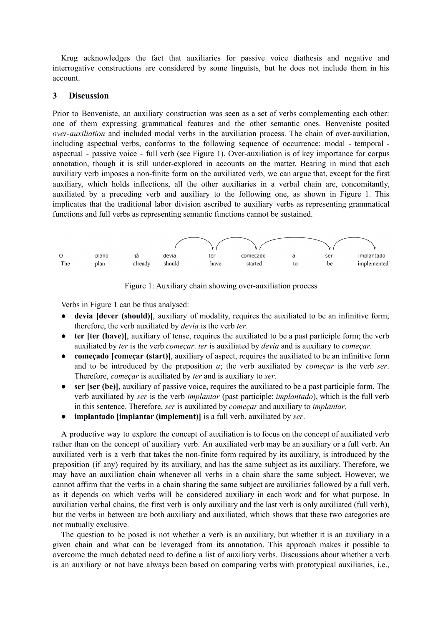Krug acknowledges the fact that auxiliaries for passive voice diathesis and negative and interrogative constructions are considered by some linguists, but he does not include them in his account.

## **3 Discussion**

Prior to Benveniste, an auxiliary construction was seen as a set of verbs complementing each other: one of them expressing grammatical features and the other semantic ones. Benveniste posited *over-auxiliation* and included modal verbs in the auxiliation process. The chain of over-auxiliation, including aspectual verbs, conforms to the following sequence of occurrence: modal - temporal aspectual - passive voice - full verb (see Figure 1). Over-auxiliation is of key importance for corpus annotation, though it is still under-explored in accounts on the matter. Bearing in mind that each auxiliary verb imposes a non-finite form on the auxiliated verb, we can argue that, except for the first auxiliary, which holds inflections, all the other auxiliaries in a verbal chain are, concomitantly, auxiliated by a preceding verb and auxiliary to the following one, as shown in Figure 1. This implicates that the traditional labor division ascribed to auxiliary verbs as representing grammatical functions and full verbs as representing semantic functions cannot be sustained.



Figure 1: Auxiliary chain showing over-auxiliation process

Verbs in Figure 1 can be thus analysed:

- devia [dever (should)], auxiliary of modality, requires the auxiliated to be an infinitive form; therefore, the verb auxiliated by *devia* is the verb *ter*.
- **ter [ter (have)]**, auxiliary of tense, requires the auxiliated to be a past participle form; the verb auxiliated by *ter* is the verb *começar*. *ter* is auxiliated by *devia* and is auxiliary to *começar*.
- **começado [começar (start)**], auxiliary of aspect, requires the auxiliated to be an infinitive form and to be introduced by the preposition *a*; the verb auxiliated by *começar* is the verb *ser*. Therefore, *começar* is auxiliated by *ter* and is auxiliary to *ser*.
- **ser [ser (be)]**, auxiliary of passive voice, requires the auxiliated to be a past participle form. The verb auxiliated by *ser* is the verb *implantar* (past participle: *implantado*), which is the full verb in this sentence. Therefore, *ser* is auxiliated by *começar* and auxiliary to *implantar*.
- **● implantado [implantar (implement)]** is a full verb, auxiliated by *ser*.

A productive way to explore the concept of auxiliation is to focus on the concept of auxiliated verb rather than on the concept of auxiliary verb. An auxiliated verb may be an auxiliary or a full verb. An auxiliated verb is a verb that takes the non-finite form required by its auxiliary, is introduced by the preposition (if any) required by its auxiliary, and has the same subject as its auxiliary. Therefore, we may have an auxiliation chain whenever all verbs in a chain share the same subject. However, we cannot affirm that the verbs in a chain sharing the same subject are auxiliaries followed by a full verb, as it depends on which verbs will be considered auxiliary in each work and for what purpose. In auxiliation verbal chains, the first verb is only auxiliary and the last verb is only auxiliated (full verb), but the verbs in between are both auxiliary and auxiliated, which shows that these two categories are not mutually exclusive.

The question to be posed is not whether a verb is an auxiliary, but whether it is an auxiliary in a given chain and what can be leveraged from its annotation. This approach makes it possible to overcome the much debated need to define a list of auxiliary verbs. Discussions about whether a verb is an auxiliary or not have always been based on comparing verbs with prototypical auxiliaries, i.e.,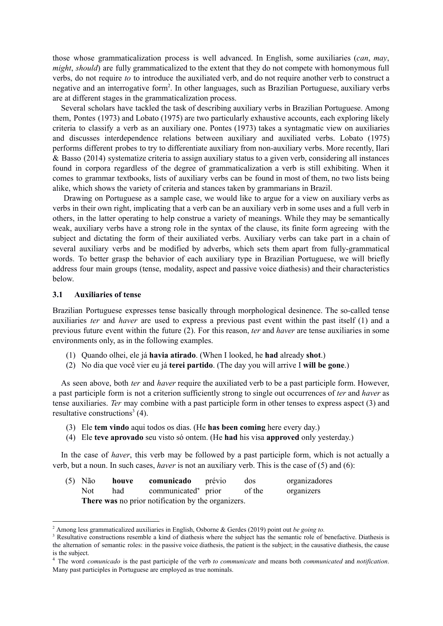those whose grammaticalization process is well advanced. In English, some auxiliaries (*can*, *may*, *might*, *should*) are fully grammaticalized to the extent that they do not compete with homonymous full verbs, do not require *to* to introduce the auxiliated verb, and do not require another verb to construct a negative and an interrogative form<sup>2</sup>. In other languages, such as Brazilian Portuguese, auxiliary verbs are at different stages in the grammaticalization process.

Several scholars have tackled the task of describing auxiliary verbs in Brazilian Portuguese. Among them, Pontes (1973) and Lobato (1975) are two particularly exhaustive accounts, each exploring likely criteria to classify a verb as an auxiliary one. Pontes (1973) takes a syntagmatic view on auxiliaries and discusses interdependence relations between auxiliary and auxiliated verbs. Lobato (1975) performs different probes to try to differentiate auxiliary from non-auxiliary verbs. More recently, Ilari & Basso (2014) systematize criteria to assign auxiliary status to a given verb, considering all instances found in corpora regardless of the degree of grammaticalization a verb is still exhibiting. When it comes to grammar textbooks, lists of auxiliary verbs can be found in most of them, no two lists being alike, which shows the variety of criteria and stances taken by grammarians in Brazil.

Drawing on Portuguese as a sample case, we would like to argue for a view on auxiliary verbs as verbs in their own right, implicating that a verb can be an auxiliary verb in some uses and a full verb in others, in the latter operating to help construe a variety of meanings. While they may be semantically weak, auxiliary verbs have a strong role in the syntax of the clause, its finite form agreeing with the subject and dictating the form of their auxiliated verbs. Auxiliary verbs can take part in a chain of several auxiliary verbs and be modified by adverbs, which sets them apart from fully-grammatical words. To better grasp the behavior of each auxiliary type in Brazilian Portuguese, we will briefly address four main groups (tense, modality, aspect and passive voice diathesis) and their characteristics below.

#### **3.1 Auxiliaries of tense**

Brazilian Portuguese expresses tense basically through morphological desinence. The so-called tense auxiliaries *ter* and *haver* are used to express a previous past event within the past itself (1) and a previous future event within the future (2). For this reason, *ter* and *haver* are tense auxiliaries in some environments only, as in the following examples.

- (1) Quando olhei, ele já **havia atirado**. (When I looked, he **had** already **shot**.)
- (2) No dia que você vier eu já **terei partido**. (The day you will arrive I **will be gone**.)

As seen above, both *ter* and *haver* require the auxiliated verb to be a past participle form. However, a past participle form is not a criterion sufficiently strong to single out occurrences of *ter* and *haver* as tense auxiliaries. *Ter* may combine with a past participle form in other tenses to express aspect (3) and resultative constructions<sup>3</sup> (4).

- (3) Ele **tem vindo** aqui todos os dias. (He **has been coming** here every day.)
- (4) Ele **teve aprovado** seu visto só ontem. (He **had** his visa **approved** only yesterday.)

In the case of *haver*, this verb may be followed by a past participle form, which is not actually a verb, but a noun. In such cases, *haver* is not an auxiliary verb. This is the case of (5) and (6):

| $(5)$ Não                                          | houve | <b>comunicado</b> prévio        |  | dos    | organizadores |  |  |  |
|----------------------------------------------------|-------|---------------------------------|--|--------|---------------|--|--|--|
| Not.                                               | had   | communicated <sup>4</sup> prior |  | of the | organizers    |  |  |  |
| There was no prior notification by the organizers. |       |                                 |  |        |               |  |  |  |

<sup>2</sup> Among less grammaticalized auxiliaries in English, Osborne & Gerdes (2019) point out *be going to.*

<sup>&</sup>lt;sup>3</sup> Resultative constructions resemble a kind of diathesis where the subject has the semantic role of benefactive. Diathesis is the alternation of semantic roles: in the passive voice diathesis, the patient is the subject; in the causative diathesis, the cause is the subject.

<sup>4</sup> The word *comunicado* is the past participle of the verb *to communicate* and means both *communicated* and *notification*. Many past participles in Portuguese are employed as true nominals.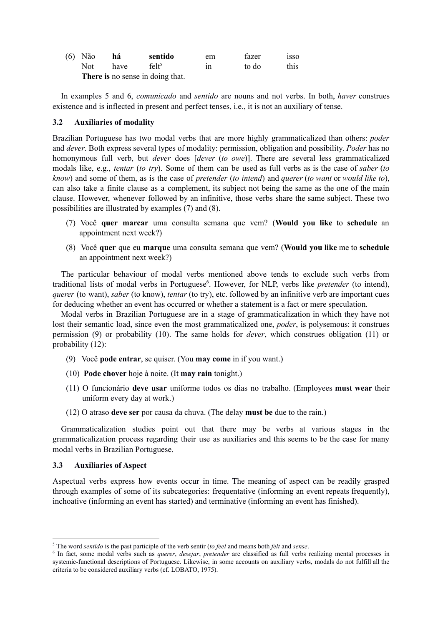| $(6)$ Não                        | há   | sentido           | em | fazer | 1SSO |  |  |
|----------------------------------|------|-------------------|----|-------|------|--|--|
| Not –                            | have | felt <sup>5</sup> | 1n | to do | this |  |  |
| There is no sense in doing that. |      |                   |    |       |      |  |  |

In examples 5 and 6, *comunicado* and *sentido* are nouns and not verbs. In both, *haver* construes existence and is inflected in present and perfect tenses, i.e., it is not an auxiliary of tense.

## **3.2 Auxiliaries of modality**

Brazilian Portuguese has two modal verbs that are more highly grammaticalized than others: *poder* and *dever*. Both express several types of modality: permission, obligation and possibility. *Poder* has no homonymous full verb, but *dever* does [*dever* (*to owe*)]. There are several less grammaticalized modals like, e.g., *tentar* (*to try*). Some of them can be used as full verbs as is the case of *saber* (*to know*) and some of them, as is the case of *pretender* (*to intend*) and *querer* (*to want* or *would like to*), can also take a finite clause as a complement, its subject not being the same as the one of the main clause. However, whenever followed by an infinitive, those verbs share the same subject. These two possibilities are illustrated by examples (7) and (8).

- (7) Você **quer marcar** uma consulta semana que vem? (**Would you like** to **schedule** an appointment next week?)
- (8) Você **quer** que eu **marque** uma consulta semana que vem? (**Would you like** me to **schedule** an appointment next week?)

The particular behaviour of modal verbs mentioned above tends to exclude such verbs from traditional lists of modal verbs in Portuguese<sup>6</sup>. However, for NLP, verbs like *pretender* (to intend), *querer* (to want), *saber* (to know), *tentar* (to try), etc. followed by an infinitive verb are important cues for deducing whether an event has occurred or whether a statement is a fact or mere speculation.

Modal verbs in Brazilian Portuguese are in a stage of grammaticalization in which they have not lost their semantic load, since even the most grammaticalized one, *poder*, is polysemous: it construes permission (9) or probability (10). The same holds for *dever*, which construes obligation (11) or probability (12):

- (9) Você **pode entrar**, se quiser. (You **may come** in if you want.)
- (10) **Pode chover** hoje à noite. (It **may rain** tonight.)
- (11) O funcionário **deve usar** uniforme todos os dias no trabalho. (Employees **must wear** their uniform every day at work.)
- (12) O atraso **deve ser** por causa da chuva. (The delay **must be** due to the rain.)

Grammaticalization studies point out that there may be verbs at various stages in the grammaticalization process regarding their use as auxiliaries and this seems to be the case for many modal verbs in Brazilian Portuguese.

#### **3.3 Auxiliaries of Aspect**

Aspectual verbs express how events occur in time. The meaning of aspect can be readily grasped through examples of some of its subcategories: frequentative (informing an event repeats frequently), inchoative (informing an event has started) and terminative (informing an event has finished).

<sup>5</sup> The word *sentido* is the past participle of the verb sentir (*to feel* and means both *felt* and *sense*.

<sup>6</sup> In fact, some modal verbs such as *querer*, *desejar*, *pretender* are classified as full verbs realizing mental processes in systemic-functional descriptions of Portuguese. Likewise, in some accounts on auxiliary verbs, modals do not fulfill all the criteria to be considered auxiliary verbs (cf. LOBATO, 1975).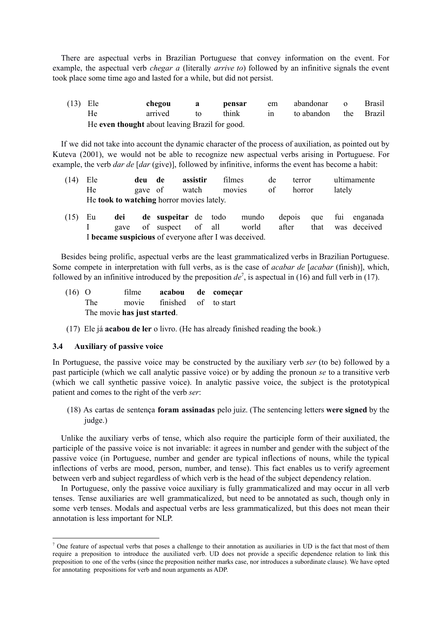There are aspectual verbs in Brazilian Portuguese that convey information on the event. For example, the aspectual verb *chegar a* (literally *arrive to*) followed by an infinitive signals the event took place some time ago and lasted for a while, but did not persist.

(13) Ele **chegou a pensar** em abandonar o Brasil He arrived to think in to abandon the Brazil He **even thought** about leaving Brazil for good.

If we did not take into account the dynamic character of the process of auxiliation, as pointed out by Kuteva (2001), we would not be able to recognize new aspectual verbs arising in Portuguese. For example, the verb *dar de* [*dar* (give)], followed by infinitive, informs the event has become a habit:

- (14) Ele **deu de assistir** filmes de terror ultimamente He gave of watch movies of horror lately He **took to watching** horror movies lately.
- (15) Eu **dei de suspeitar** de todo mundo depois que fui enganada I gave of suspect of all world after that was deceived I **became suspicious** of everyone after I was deceived.

Besides being prolific, aspectual verbs are the least grammaticalized verbs in Brazilian Portuguese. Some compete in interpretation with full verbs, as is the case of *acabar de* [*acabar* (finish)], which, followed by an infinitive introduced by the preposition  $de^7$ , is aspectual in (16) and full verb in (17).

- (16) O filme **acabou de começar** The movie finished of to start The movie **has just started**.
- (17) Ele já **acabou de ler** o livro. (He has already finished reading the book.)

### **3.4 Auxiliary of passive voice**

In Portuguese, the passive voice may be constructed by the auxiliary verb *ser* (to be) followed by a past participle (which we call analytic passive voice) or by adding the pronoun *se* to a transitive verb (which we call synthetic passive voice). In analytic passive voice, the subject is the prototypical patient and comes to the right of the verb *ser*:

(18) As cartas de sentença **foram assinadas** pelo juiz. (The sentencing letters **were signed** by the judge.)

Unlike the auxiliary verbs of tense, which also require the participle form of their auxiliated, the participle of the passive voice is not invariable: it agrees in number and gender with the subject of the passive voice (in Portuguese, number and gender are typical inflections of nouns, while the typical inflections of verbs are mood, person, number, and tense). This fact enables us to verify agreement between verb and subject regardless of which verb is the head of the subject dependency relation.

In Portuguese, only the passive voice auxiliary is fully grammaticalized and may occur in all verb tenses. Tense auxiliaries are well grammaticalized, but need to be annotated as such, though only in some verb tenses. Modals and aspectual verbs are less grammaticalized, but this does not mean their annotation is less important for NLP.

<sup>&</sup>lt;sup>7</sup> One feature of aspectual verbs that poses a challenge to their annotation as auxiliaries in UD is the fact that most of them require a preposition to introduce the auxiliated verb. UD does not provide a specific dependence relation to link this preposition to one of the verbs (since the preposition neither marks case, nor introduces a subordinate clause). We have opted for annotating prepositions for verb and noun arguments as ADP.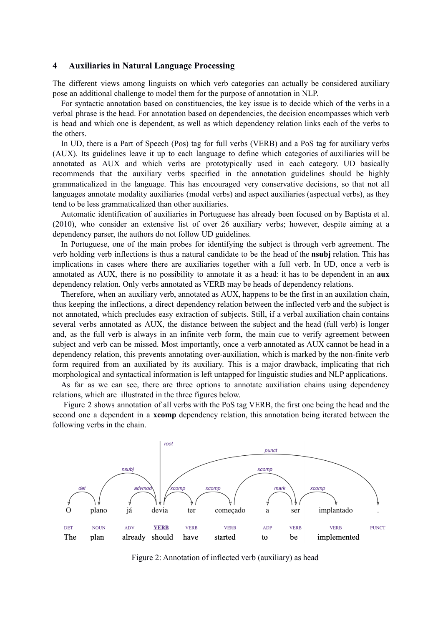#### **4 Auxiliaries in Natural Language Processing**

The different views among linguists on which verb categories can actually be considered auxiliary pose an additional challenge to model them for the purpose of annotation in NLP.

For syntactic annotation based on constituencies, the key issue is to decide which of the verbs in a verbal phrase is the head. For annotation based on dependencies, the decision encompasses which verb is head and which one is dependent, as well as which dependency relation links each of the verbs to the others.

In UD, there is a Part of Speech (Pos) tag for full verbs (VERB) and a PoS tag for auxiliary verbs (AUX). Its guidelines leave it up to each language to define which categories of auxiliaries will be annotated as AUX and which verbs are prototypically used in each category. UD basically recommends that the auxiliary verbs specified in the annotation guidelines should be highly grammaticalized in the language. This has encouraged very conservative decisions, so that not all languages annotate modality auxiliaries (modal verbs) and aspect auxiliaries (aspectual verbs), as they tend to be less grammaticalized than other auxiliaries.

Automatic identification of auxiliaries in Portuguese has already been focused on by Baptista et al. (2010), who consider an extensive list of over 26 auxiliary verbs; however, despite aiming at a dependency parser, the authors do not follow UD guidelines.

In Portuguese, one of the main probes for identifying the subject is through verb agreement. The verb holding verb inflections is thus a natural candidate to be the head of the **nsubj** relation. This has implications in cases where there are auxiliaries together with a full verb. In UD, once a verb is annotated as AUX, there is no possibility to annotate it as a head: it has to be dependent in an **aux** dependency relation. Only verbs annotated as VERB may be heads of dependency relations.

Therefore, when an auxiliary verb, annotated as AUX, happens to be the first in an auxilation chain, thus keeping the inflections, a direct dependency relation between the inflected verb and the subject is not annotated, which precludes easy extraction of subjects. Still, if a verbal auxiliation chain contains several verbs annotated as AUX, the distance between the subject and the head (full verb) is longer and, as the full verb is always in an infinite verb form, the main cue to verify agreement between subject and verb can be missed. Most importantly, once a verb annotated as AUX cannot be head in a dependency relation, this prevents annotating over-auxiliation, which is marked by the non-finite verb form required from an auxiliated by its auxiliary. This is a major drawback, implicating that rich morphological and syntactical information is left untapped for linguistic studies and NLP applications.

As far as we can see, there are three options to annotate auxiliation chains using dependency relations, which are illustrated in the three figures below.

Figure 2 shows annotation of all verbs with the PoS tag VERB, the first one being the head and the second one a dependent in a **xcomp** dependency relation, this annotation being iterated between the following verbs in the chain.



Figure 2: Annotation of inflected verb (auxiliary) as head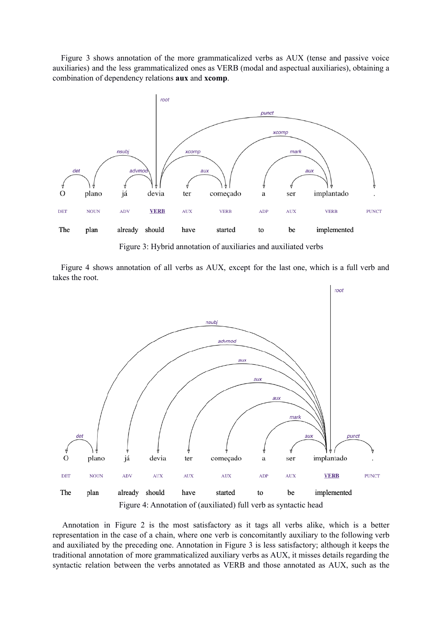Figure 3 shows annotation of the more grammaticalized verbs as AUX (tense and passive voice auxiliaries) and the less grammaticalized ones as VERB (modal and aspectual auxiliaries), obtaining a combination of dependency relations **aux** and **xcomp**.



Figure 3: Hybrid annotation of auxiliaries and auxiliated verbs

Figure 4 shows annotation of all verbs as AUX, except for the last one, which is a full verb and takes the root.



Figure 4: Annotation of (auxiliated) full verb as syntactic head

Annotation in Figure 2 is the most satisfactory as it tags all verbs alike, which is a better representation in the case of a chain, where one verb is concomitantly auxiliary to the following verb and auxiliated by the preceding one. Annotation in Figure 3 is less satisfactory; although it keeps the traditional annotation of more grammaticalized auxiliary verbs as AUX, it misses details regarding the syntactic relation between the verbs annotated as VERB and those annotated as AUX, such as the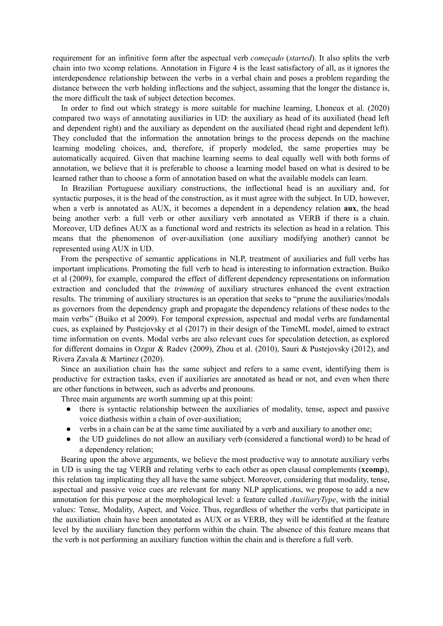requirement for an infinitive form after the aspectual verb *começado* (*started*). It also splits the verb chain into two xcomp relations. Annotation in Figure 4 is the least satisfactory of all, as it ignores the interdependence relationship between the verbs in a verbal chain and poses a problem regarding the distance between the verb holding inflections and the subject, assuming that the longer the distance is, the more difficult the task of subject detection becomes.

In order to find out which strategy is more suitable for machine learning, Lhoneux et al. (2020) compared two ways of annotating auxiliaries in UD: the auxiliary as head of its auxiliated (head left and dependent right) and the auxiliary as dependent on the auxiliated (head right and dependent left). They concluded that the information the annotation brings to the process depends on the machine learning modeling choices, and, therefore, if properly modeled, the same properties may be automatically acquired. Given that machine learning seems to deal equally well with both forms of annotation, we believe that it is preferable to choose a learning model based on what is desired to be learned rather than to choose a form of annotation based on what the available models can learn.

In Brazilian Portuguese auxiliary constructions, the inflectional head is an auxiliary and, for syntactic purposes, it is the head of the construction, as it must agree with the subject. In UD, however, when a verb is annotated as AUX, it becomes a dependent in a dependency relation **aux**, the head being another verb: a full verb or other auxiliary verb annotated as VERB if there is a chain. Moreover, UD defines AUX as a functional word and restricts its selection as head in a relation. This means that the phenomenon of over-auxiliation (one auxiliary modifying another) cannot be represented using AUX in UD.

From the perspective of semantic applications in NLP, treatment of auxiliaries and full verbs has important implications. Promoting the full verb to head is interesting to information extraction. Buiko et al (2009), for example, compared the effect of different dependency representations on information extraction and concluded that the *trimming* of auxiliary structures enhanced the event extraction results. The trimming of auxiliary structures is an operation that seeks to "prune the auxiliaries/modals as governors from the dependency graph and propagate the dependency relations of these nodes to the main verbs" (Buiko et al 2009). For temporal expression, aspectual and modal verbs are fundamental cues, as explained by Pustejovsky et al (2017) in their design of the TimeML model, aimed to extract time information on events. Modal verbs are also relevant cues for speculation detection, as explored for different domains in Ozgur & Radev (2009), Zhou et al. (2010), Sauri & Pustejovsky (2012), and Rivera Zavala & Martinez (2020).

Since an auxiliation chain has the same subject and refers to a same event, identifying them is productive for extraction tasks, even if auxiliaries are annotated as head or not, and even when there are other functions in between, such as adverbs and pronouns.

Three main arguments are worth summing up at this point:

- there is syntactic relationship between the auxiliaries of modality, tense, aspect and passive voice diathesis within a chain of over-auxiliation;
- verbs in a chain can be at the same time auxiliated by a verb and auxiliary to another one;
- the UD guidelines do not allow an auxiliary verb (considered a functional word) to be head of a dependency relation;

Bearing upon the above arguments, we believe the most productive way to annotate auxiliary verbs in UD is using the tag VERB and relating verbs to each other as open clausal complements (**xcomp**), this relation tag implicating they all have the same subject. Moreover, considering that modality, tense, aspectual and passive voice cues are relevant for many NLP applications, we propose to add a new annotation for this purpose at the morphological level: a feature called *AuxiliaryType*, with the initial values: Tense, Modality, Aspect, and Voice. Thus, regardless of whether the verbs that participate in the auxiliation chain have been annotated as AUX or as VERB, they will be identified at the feature level by the auxiliary function they perform within the chain. The absence of this feature means that the verb is not performing an auxiliary function within the chain and is therefore a full verb.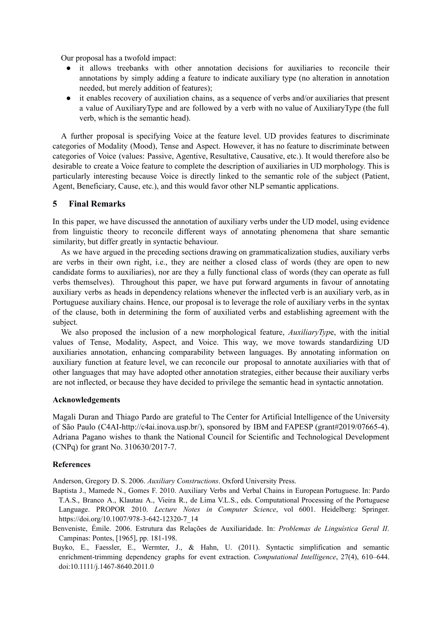Our proposal has a twofold impact:

- it allows treebanks with other annotation decisions for auxiliaries to reconcile their annotations by simply adding a feature to indicate auxiliary type (no alteration in annotation needed, but merely addition of features);
- it enables recovery of auxiliation chains, as a sequence of verbs and/or auxiliaries that present a value of AuxiliaryType and are followed by a verb with no value of AuxiliaryType (the full verb, which is the semantic head).

A further proposal is specifying Voice at the feature level. UD provides features to discriminate categories of Modality (Mood), Tense and Aspect. However, it has no feature to discriminate between categories of Voice (values: Passive, Agentive, Resultative, Causative, etc.). It would therefore also be desirable to create a Voice feature to complete the description of auxiliaries in UD morphology. This is particularly interesting because Voice is directly linked to the semantic role of the subject (Patient, Agent, Beneficiary, Cause, etc.), and this would favor other NLP semantic applications.

# **5 Final Remarks**

In this paper, we have discussed the annotation of auxiliary verbs under the UD model, using evidence from linguistic theory to reconcile different ways of annotating phenomena that share semantic similarity, but differ greatly in syntactic behaviour.

As we have argued in the preceding sections drawing on grammaticalization studies, auxiliary verbs are verbs in their own right, i.e., they are neither a closed class of words (they are open to new candidate forms to auxiliaries), nor are they a fully functional class of words (they can operate as full verbs themselves). Throughout this paper, we have put forward arguments in favour of annotating auxiliary verbs as heads in dependency relations whenever the inflected verb is an auxiliary verb, as in Portuguese auxiliary chains. Hence, our proposal is to leverage the role of auxiliary verbs in the syntax of the clause, both in determining the form of auxiliated verbs and establishing agreement with the subject.

We also proposed the inclusion of a new morphological feature, *AuxiliaryTyp*e, with the initial values of Tense, Modality, Aspect, and Voice. This way, we move towards standardizing UD auxiliaries annotation, enhancing comparability between languages. By annotating information on auxiliary function at feature level, we can reconcile our proposal to annotate auxiliaries with that of other languages that may have adopted other annotation strategies, either because their auxiliary verbs are not inflected, or because they have decided to privilege the semantic head in syntactic annotation.

#### **Acknowledgements**

Magali Duran and Thiago Pardo are grateful to The Center for Artificial Intelligence of the University of São Paulo (C4AI-[http://c4ai.inova.usp.br/\)](http://c4ai.inova.usp.br/), sponsored by IBM and FAPESP (grant#2019/07665-4). Adriana Pagano wishes to thank the National Council for Scientific and Technological Development (CNPq) for grant No. 310630/2017-7.

#### **References**

Anderson, Gregory D. S. 2006. *Auxiliary Constructions*. Oxford University Press.

- Baptista J., Mamede N., Gomes F. 2010. Auxiliary Verbs and Verbal Chains in European Portuguese. In: Pardo T.A.S., Branco A., Klautau A., Vieira R., de Lima V.L.S., eds. Computational Processing of the Portuguese Language. PROPOR 2010. *Lecture Notes in Computer Science*, vol 6001. Heidelberg: Springer. https://doi.org/10.1007/978-3-642-12320-7\_14
- Benveniste, Émile. 2006. Estrutura das Relações de Auxiliaridade. In: *Problemas de Linguística Geral II*. Campinas: Pontes, [1965], pp. 181-198.
- Buyko, E., Faessler, E., Wermter, J., & Hahn, U. (2011). Syntactic simplification and semantic enrichment-trimming dependency graphs for event extraction. *Computational Intelligence*, 27(4), 610–644. doi:10.1111/j.1467-8640.2011.0